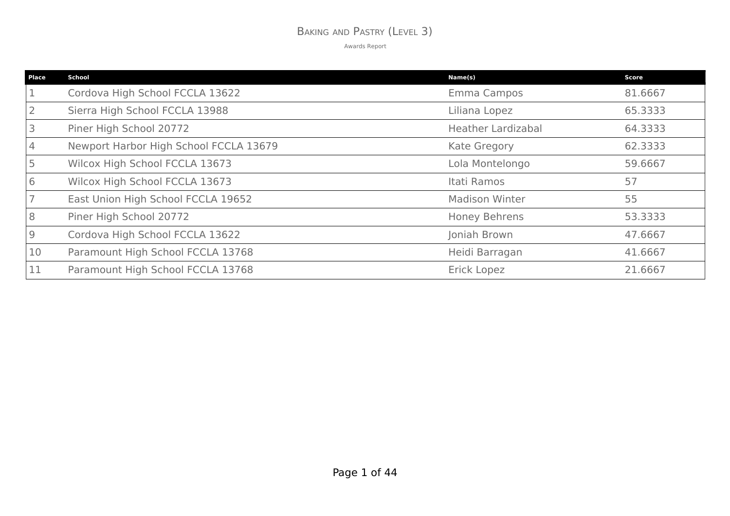### BAKING AND PASTRY (LEVEL 3)

| Place          | <b>School</b>                          | Name(s)                   | <b>Score</b> |
|----------------|----------------------------------------|---------------------------|--------------|
|                | Cordova High School FCCLA 13622        | Emma Campos               | 81.6667      |
|                | Sierra High School FCCLA 13988         | Liliana Lopez             | 65.3333      |
| $\overline{3}$ | Piner High School 20772                | <b>Heather Lardizabal</b> | 64.3333      |
| $\overline{4}$ | Newport Harbor High School FCCLA 13679 | Kate Gregory              | 62.3333      |
|                | Wilcox High School FCCLA 13673         | Lola Montelongo           | 59.6667      |
| 6              | Wilcox High School FCCLA 13673         | Itati Ramos               | 57           |
|                | East Union High School FCCLA 19652     | <b>Madison Winter</b>     | 55           |
| 8              | Piner High School 20772                | Honey Behrens             | 53.3333      |
| $\overline{9}$ | Cordova High School FCCLA 13622        | Joniah Brown              | 47.6667      |
| 10             | Paramount High School FCCLA 13768      | Heidi Barragan            | 41.6667      |
|                | Paramount High School FCCLA 13768      | <b>Erick Lopez</b>        | 21.6667      |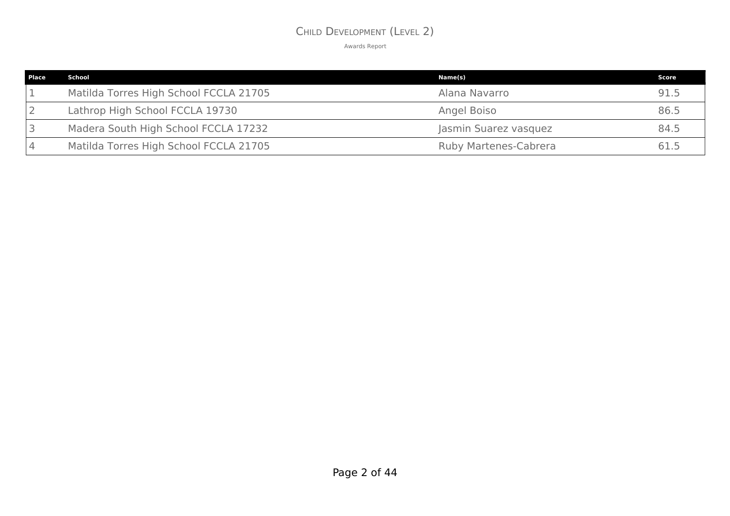### CHILD DEVELOPMENT (LEVEL 2)

| <b>Place</b> | School                                 | Name(s)                      | Score |
|--------------|----------------------------------------|------------------------------|-------|
|              | Matilda Torres High School FCCLA 21705 | Alana Navarro                | 91.5  |
|              | Lathrop High School FCCLA 19730        | Angel Boiso                  | 86.5  |
|              | Madera South High School FCCLA 17232   | Jasmin Suarez vasquez        | 84.5  |
|              | Matilda Torres High School FCCLA 21705 | <b>Ruby Martenes-Cabrera</b> | 61.5  |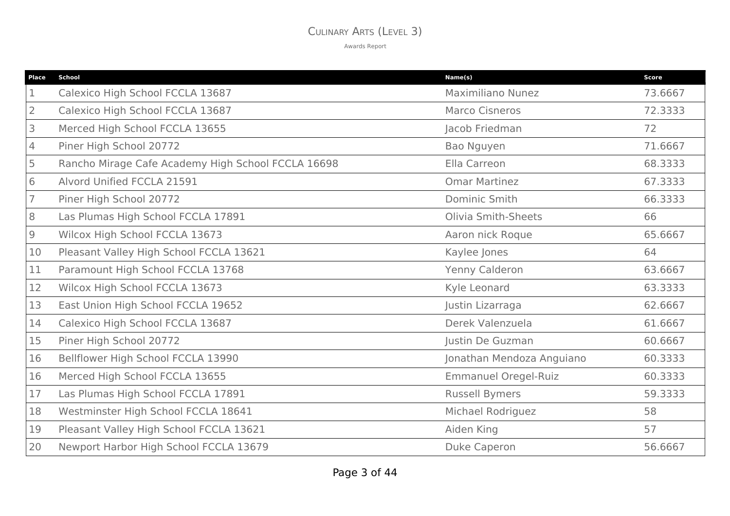### CULINARY ARTS (LEVEL 3)

| Place          | <b>School</b>                                      | Name(s)                     | <b>Score</b> |
|----------------|----------------------------------------------------|-----------------------------|--------------|
|                | Calexico High School FCCLA 13687                   | <b>Maximiliano Nunez</b>    | 73.6667      |
| $\overline{2}$ | Calexico High School FCCLA 13687                   | <b>Marco Cisneros</b>       | 72.3333      |
| 3              | Merced High School FCCLA 13655                     | Jacob Friedman              | 72           |
| 4              | Piner High School 20772                            | Bao Nguyen                  | 71.6667      |
| 5              | Rancho Mirage Cafe Academy High School FCCLA 16698 | Ella Carreon                | 68.3333      |
| 6              | Alvord Unified FCCLA 21591                         | <b>Omar Martinez</b>        | 67.3333      |
|                | Piner High School 20772                            | Dominic Smith               | 66.3333      |
| 8              | Las Plumas High School FCCLA 17891                 | <b>Olivia Smith-Sheets</b>  | 66           |
| 9              | Wilcox High School FCCLA 13673                     | Aaron nick Roque            | 65.6667      |
| 10             | Pleasant Valley High School FCCLA 13621            | Kaylee Jones                | 64           |
| 11             | Paramount High School FCCLA 13768                  | Yenny Calderon              | 63.6667      |
| 12             | Wilcox High School FCCLA 13673                     | Kyle Leonard                | 63.3333      |
| 13             | East Union High School FCCLA 19652                 | Justin Lizarraga            | 62.6667      |
| 14             | Calexico High School FCCLA 13687                   | Derek Valenzuela            | 61.6667      |
| 15             | Piner High School 20772                            | Justin De Guzman            | 60.6667      |
| 16             | Bellflower High School FCCLA 13990                 | Jonathan Mendoza Anguiano   | 60.3333      |
| 16             | Merced High School FCCLA 13655                     | <b>Emmanuel Oregel-Ruiz</b> | 60.3333      |
| 17             | Las Plumas High School FCCLA 17891                 | <b>Russell Bymers</b>       | 59.3333      |
| 18             | Westminster High School FCCLA 18641                | Michael Rodriguez           | 58           |
| 19             | Pleasant Valley High School FCCLA 13621            | Aiden King                  | 57           |
| 20             | Newport Harbor High School FCCLA 13679             | <b>Duke Caperon</b>         | 56.6667      |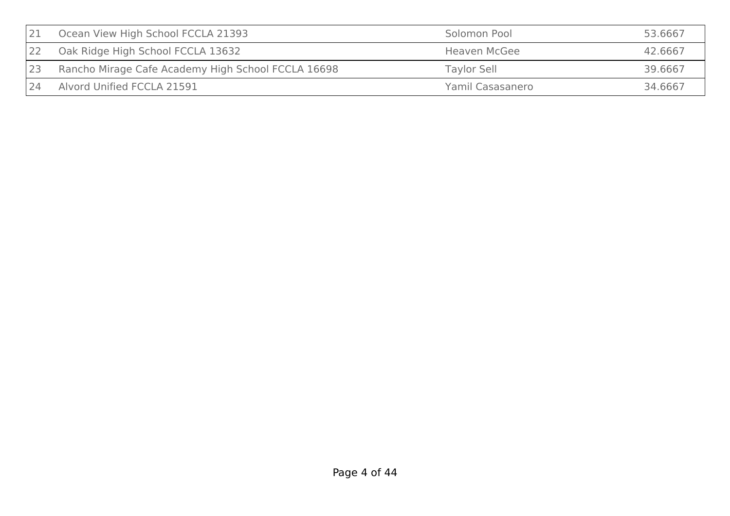|    | Ocean View High School FCCLA 21393                 | Solomon Pool        | 53.6667 |
|----|----------------------------------------------------|---------------------|---------|
|    | Oak Ridge High School FCCLA 13632                  | <b>Heaven McGee</b> | 42.6667 |
| 23 | Rancho Mirage Cafe Academy High School FCCLA 16698 | Taylor Sell         | 39.6667 |
| 24 | Alvord Unified FCCLA 21591                         | Yamil Casasanero    | 34.6667 |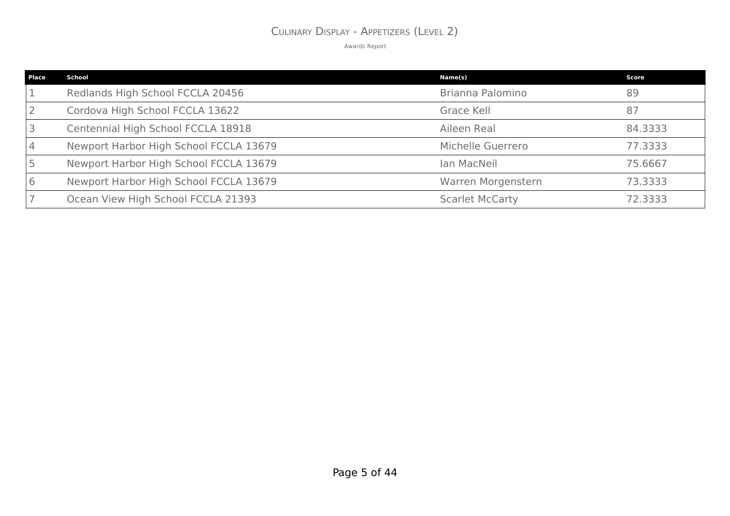### CULINARY DISPLAY - APPETIZERS (LEVEL 2)

| Place | School                                 | Name(s)                | <b>Score</b> |
|-------|----------------------------------------|------------------------|--------------|
|       | Redlands High School FCCLA 20456       | Brianna Palomino       | 89           |
|       | Cordova High School FCCLA 13622        | Grace Kell             | 87           |
|       | Centennial High School FCCLA 18918     | Aileen Real            | 84.3333      |
|       | Newport Harbor High School FCCLA 13679 | Michelle Guerrero      | 77.3333      |
|       | Newport Harbor High School FCCLA 13679 | Ian MacNeil            | 75.6667      |
|       | Newport Harbor High School FCCLA 13679 | Warren Morgenstern     | 73.3333      |
|       | Ocean View High School FCCLA 21393     | <b>Scarlet McCarty</b> | 72.3333      |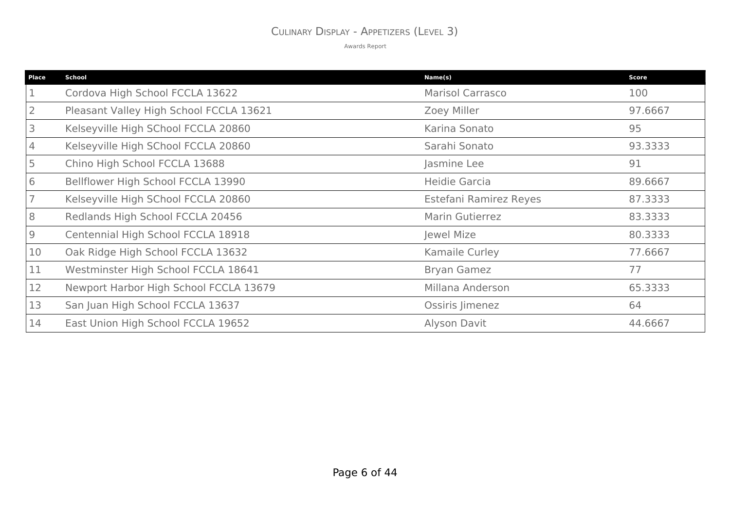### CULINARY DISPLAY - APPETIZERS (LEVEL 3)

| <b>Place</b>   | <b>School</b>                           | Name(s)                 | <b>Score</b> |
|----------------|-----------------------------------------|-------------------------|--------------|
|                | Cordova High School FCCLA 13622         | <b>Marisol Carrasco</b> | 100          |
| $\overline{2}$ | Pleasant Valley High School FCCLA 13621 | Zoey Miller             | 97.6667      |
| 3              | Kelseyville High SChool FCCLA 20860     | Karina Sonato           | 95           |
| 4              | Kelseyville High SChool FCCLA 20860     | Sarahi Sonato           | 93.3333      |
| 5              | Chino High School FCCLA 13688           | Jasmine Lee             | 91           |
| 6              | Bellflower High School FCCLA 13990      | Heidie Garcia           | 89.6667      |
|                | Kelseyville High SChool FCCLA 20860     | Estefani Ramirez Reyes  | 87.3333      |
| 8              | Redlands High School FCCLA 20456        | <b>Marin Gutierrez</b>  | 83.3333      |
| 9              | Centennial High School FCCLA 18918      | Jewel Mize              | 80.3333      |
| 10             | Oak Ridge High School FCCLA 13632       | Kamaile Curley          | 77.6667      |
| 11             | Westminster High School FCCLA 18641     | <b>Bryan Gamez</b>      | 77           |
| 12             | Newport Harbor High School FCCLA 13679  | Millana Anderson        | 65.3333      |
| 13             | San Juan High School FCCLA 13637        | Ossiris Jimenez         | 64           |
| 14             | East Union High School FCCLA 19652      | Alyson Davit            | 44.6667      |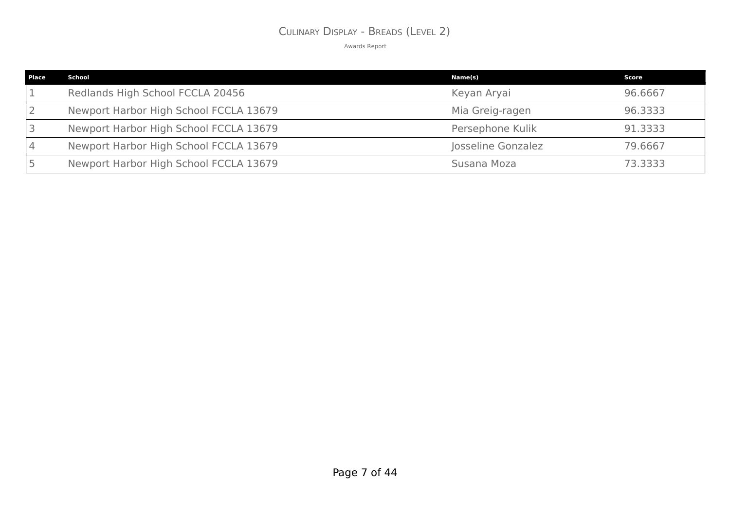### CULINARY DISPLAY - BREADS (LEVEL 2)

| Place | School                                 | Name(s)            | Score   |
|-------|----------------------------------------|--------------------|---------|
|       | Redlands High School FCCLA 20456       | Keyan Aryai        | 96.6667 |
|       | Newport Harbor High School FCCLA 13679 | Mia Greig-ragen    | 96.3333 |
|       | Newport Harbor High School FCCLA 13679 | Persephone Kulik   | 91.3333 |
|       | Newport Harbor High School FCCLA 13679 | Josseline Gonzalez | 79.6667 |
|       | Newport Harbor High School FCCLA 13679 | Susana Moza        | 73.3333 |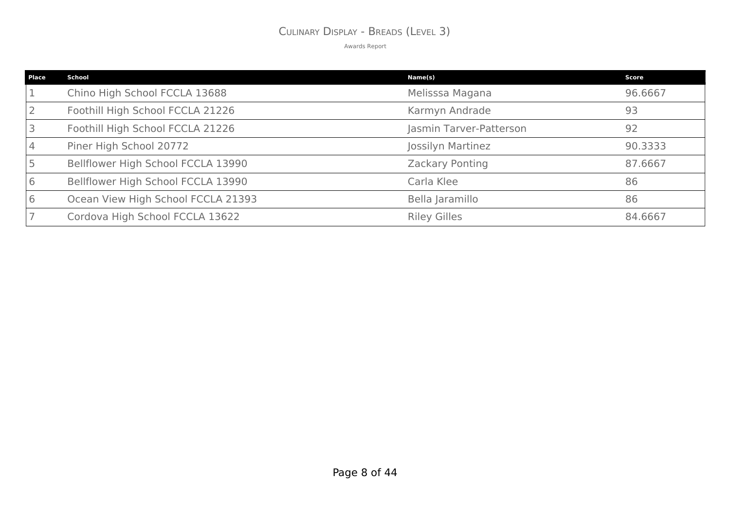### CULINARY DISPLAY - BREADS (LEVEL 3)

| <b>Place</b> | <b>School</b>                      | Name(s)                 | <b>Score</b> |
|--------------|------------------------------------|-------------------------|--------------|
|              | Chino High School FCCLA 13688      | Melisssa Magana         | 96.6667      |
|              | Foothill High School FCCLA 21226   | Karmyn Andrade          | 93           |
|              | Foothill High School FCCLA 21226   | Jasmin Tarver-Patterson | 92           |
|              | Piner High School 20772            | Jossilyn Martinez       | 90.3333      |
|              | Bellflower High School FCCLA 13990 | Zackary Ponting         | 87.6667      |
|              | Bellflower High School FCCLA 13990 | Carla Klee              | 86           |
|              | Ocean View High School FCCLA 21393 | Bella Jaramillo         | 86           |
|              | Cordova High School FCCLA 13622    | <b>Riley Gilles</b>     | 84.6667      |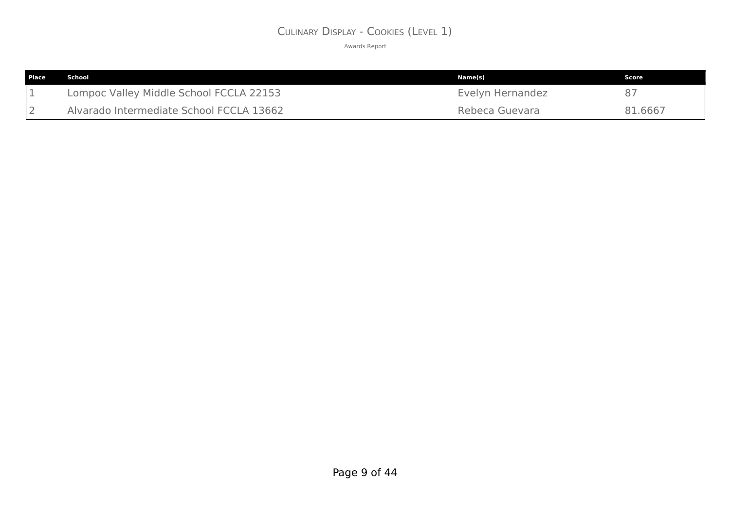## CULINARY DISPLAY - COOKIES (LEVEL 1)

| l Place | School                                   | Name(s)          | Score   |
|---------|------------------------------------------|------------------|---------|
|         | Lompoc Valley Middle School FCCLA 22153  | Evelyn Hernandez | 87      |
|         | Alvarado Intermediate School FCCLA 13662 | Rebeca Guevara   | 81.6667 |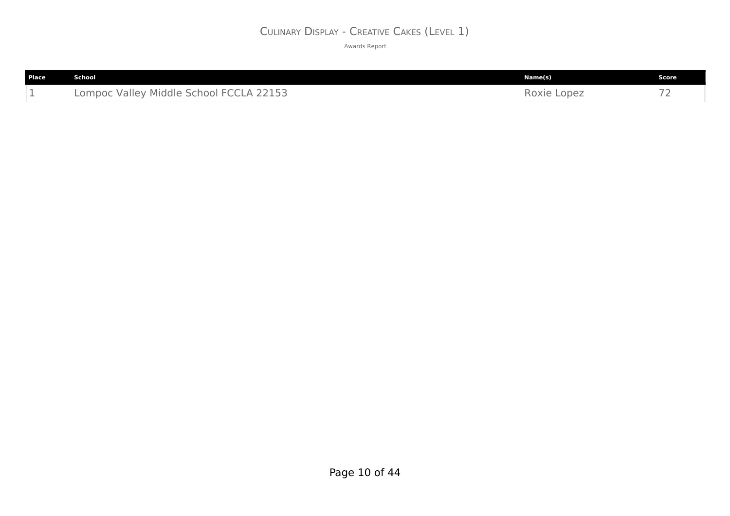## CULINARY DISPLAY - CREATIVE CAKES (LEVEL 1)

| Place | <b>School</b>                           | Name(s)     | Score         |
|-------|-----------------------------------------|-------------|---------------|
| --    | Lompoc Valley Middle School FCCLA 22153 | Roxie Lopez | $\rightarrow$ |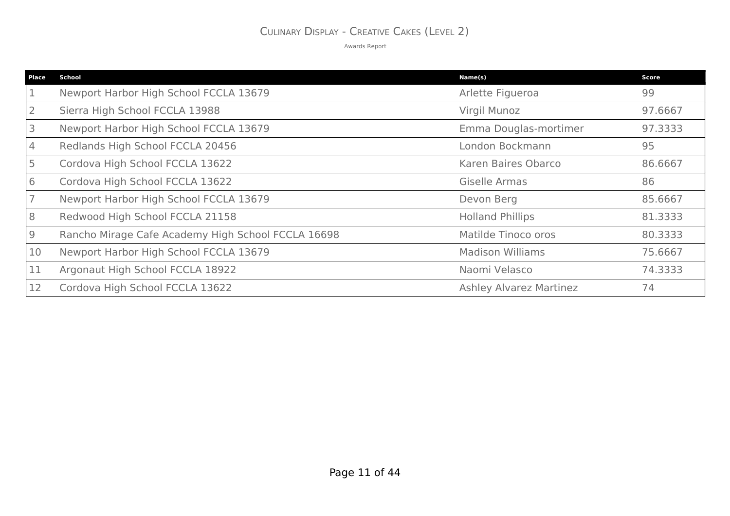## CULINARY DISPLAY - CREATIVE CAKES (LEVEL 2)

| <b>Place</b> | <b>School</b>                                      | Name(s)                        | <b>Score</b> |
|--------------|----------------------------------------------------|--------------------------------|--------------|
|              | Newport Harbor High School FCCLA 13679             | Arlette Figueroa               | 99           |
|              | Sierra High School FCCLA 13988                     | Virgil Munoz                   | 97.6667      |
|              | Newport Harbor High School FCCLA 13679             | Emma Douglas-mortimer          | 97.3333      |
| 4            | Redlands High School FCCLA 20456                   | London Bockmann                | 95           |
|              | Cordova High School FCCLA 13622                    | Karen Baires Obarco            | 86.6667      |
| 6            | Cordova High School FCCLA 13622                    | Giselle Armas                  | 86           |
|              | Newport Harbor High School FCCLA 13679             | Devon Berg                     | 85.6667      |
| 8            | Redwood High School FCCLA 21158                    | <b>Holland Phillips</b>        | 81.3333      |
| 9            | Rancho Mirage Cafe Academy High School FCCLA 16698 | Matilde Tinoco oros            | 80.3333      |
| 10           | Newport Harbor High School FCCLA 13679             | <b>Madison Williams</b>        | 75.6667      |
| 11           | Argonaut High School FCCLA 18922                   | Naomi Velasco                  | 74.3333      |
| 12           | Cordova High School FCCLA 13622                    | <b>Ashley Alvarez Martinez</b> | 74           |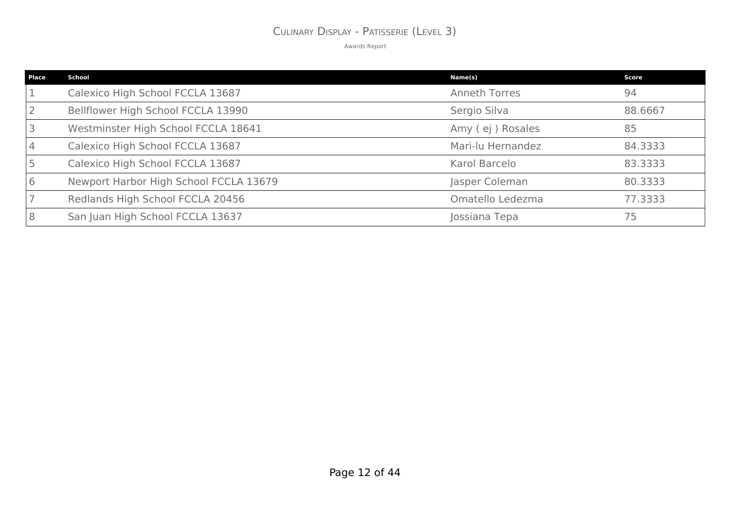# CULINARY DISPLAY - PATISSERIE (LEVEL 3)

| Place | <b>School</b>                          | Name(s)              | <b>Score</b> |
|-------|----------------------------------------|----------------------|--------------|
|       | Calexico High School FCCLA 13687       | <b>Anneth Torres</b> | 94           |
|       | Bellflower High School FCCLA 13990     | Sergio Silva         | 88.6667      |
|       | Westminster High School FCCLA 18641    | Amy (ej) Rosales     | 85           |
|       | Calexico High School FCCLA 13687       | Mari-lu Hernandez    | 84.3333      |
|       | Calexico High School FCCLA 13687       | Karol Barcelo        | 83.3333      |
|       | Newport Harbor High School FCCLA 13679 | Jasper Coleman       | 80.3333      |
|       | Redlands High School FCCLA 20456       | Omatello Ledezma     | 77.3333      |
|       | San Juan High School FCCLA 13637       | Jossiana Tepa        | 75           |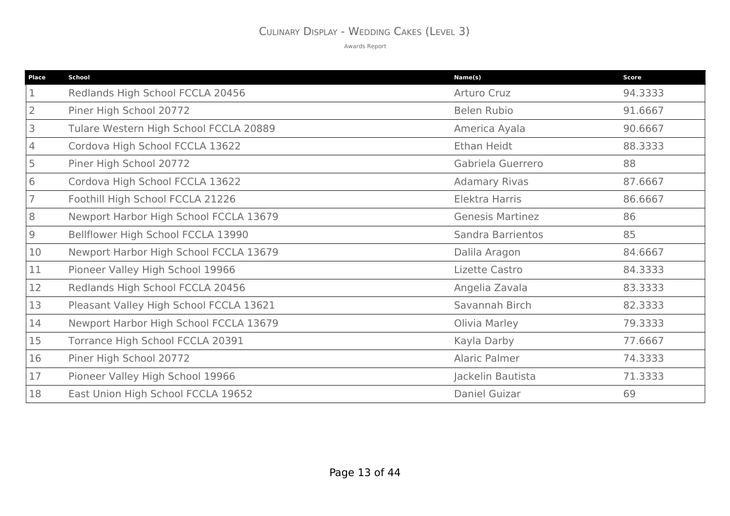## CULINARY DISPLAY - WEDDING CAKES (LEVEL 3)

| <b>Place</b>   | <b>School</b>                           | Name(s)                 | Score   |
|----------------|-----------------------------------------|-------------------------|---------|
|                | Redlands High School FCCLA 20456        | Arturo Cruz             | 94.3333 |
| $\overline{2}$ | Piner High School 20772                 | <b>Belen Rubio</b>      | 91.6667 |
| 3              | Tulare Western High School FCCLA 20889  | America Ayala           | 90.6667 |
| 4              | Cordova High School FCCLA 13622         | Ethan Heidt             | 88.3333 |
| 5              | Piner High School 20772                 | Gabriela Guerrero       | 88      |
| 6              | Cordova High School FCCLA 13622         | <b>Adamary Rivas</b>    | 87.6667 |
|                | Foothill High School FCCLA 21226        | Elektra Harris          | 86.6667 |
| 8              | Newport Harbor High School FCCLA 13679  | <b>Genesis Martinez</b> | 86      |
| $\overline{9}$ | Bellflower High School FCCLA 13990      | Sandra Barrientos       | 85      |
| 10             | Newport Harbor High School FCCLA 13679  | Dalila Aragon           | 84.6667 |
| 11             | Pioneer Valley High School 19966        | Lizette Castro          | 84.3333 |
| 12             | Redlands High School FCCLA 20456        | Angelia Zavala          | 83.3333 |
| 13             | Pleasant Valley High School FCCLA 13621 | Savannah Birch          | 82.3333 |
| 14             | Newport Harbor High School FCCLA 13679  | Olivia Marley           | 79.3333 |
| 15             | Torrance High School FCCLA 20391        | Kayla Darby             | 77.6667 |
| 16             | Piner High School 20772                 | Alaric Palmer           | 74.3333 |
| 17             | Pioneer Valley High School 19966        | Jackelin Bautista       | 71.3333 |
| 18             | East Union High School FCCLA 19652      | Daniel Guizar           | 69      |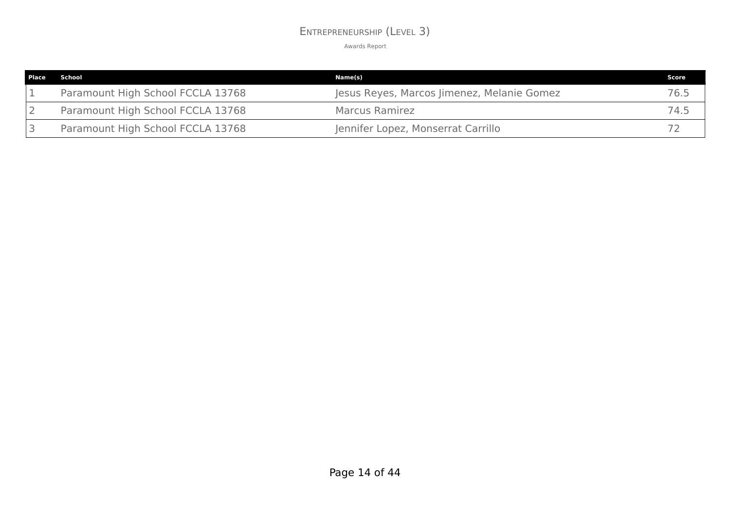### ENTREPRENEURSHIP (LEVEL 3)

| <b>Place</b> | School                            | Name(s)                                    | Score |
|--------------|-----------------------------------|--------------------------------------------|-------|
|              | Paramount High School FCCLA 13768 | Jesus Reyes, Marcos Jimenez, Melanie Gomez | 76.5  |
|              | Paramount High School FCCLA 13768 | Marcus Ramirez                             | 74.5  |
|              | Paramount High School FCCLA 13768 | Jennifer Lopez, Monserrat Carrillo         |       |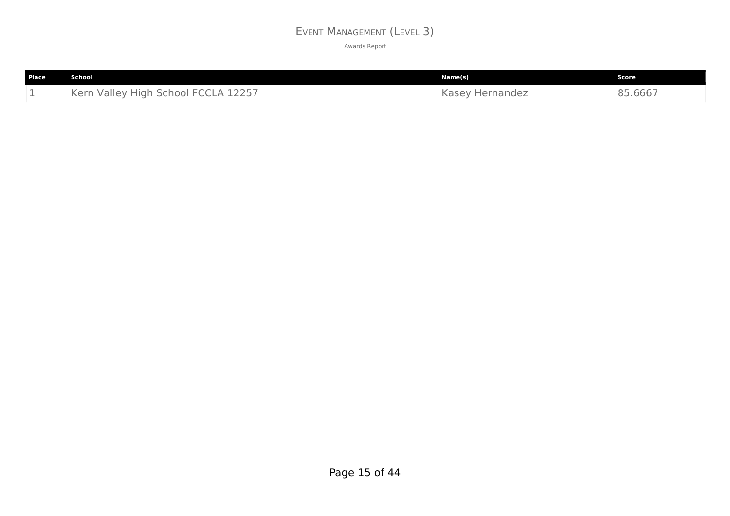### EVENT MANAGEMENT (LEVEL 3)

| Place | School                              | Name(s)                         | Score   |
|-------|-------------------------------------|---------------------------------|---------|
| --    | Kern Valley High School FCCLA 12257 | Kasey<br><sup>'</sup> Hernandez | 85.6667 |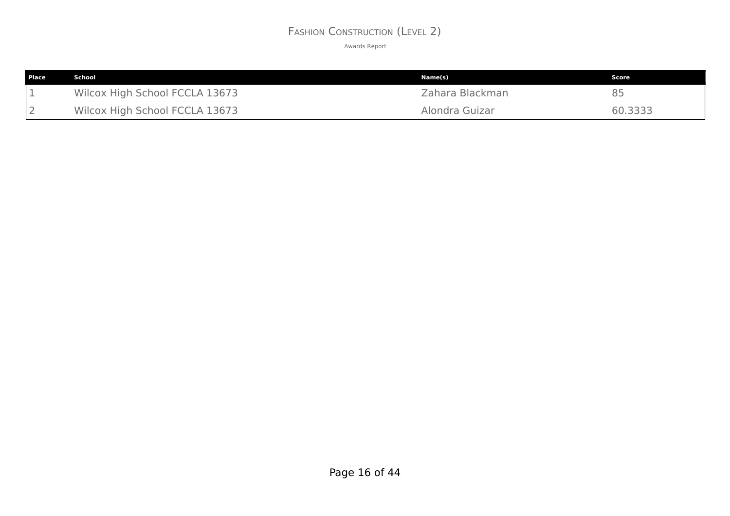## FASHION CONSTRUCTION (LEVEL 2)

| Place | School                         | Name(s)         | Score   |
|-------|--------------------------------|-----------------|---------|
|       | Wilcox High School FCCLA 13673 | Zahara Blackman |         |
|       | Wilcox High School FCCLA 13673 | Alondra Guizar  | 60.3333 |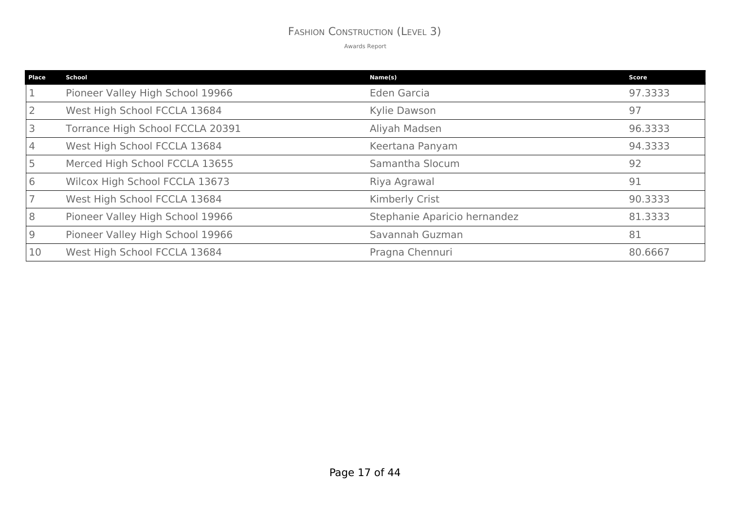### FASHION CONSTRUCTION (LEVEL 3)

| <b>Place</b> | <b>School</b>                    | Name(s)                      | Score   |
|--------------|----------------------------------|------------------------------|---------|
|              | Pioneer Valley High School 19966 | Eden Garcia                  | 97.3333 |
|              | West High School FCCLA 13684     | Kylie Dawson                 | 97      |
|              | Torrance High School FCCLA 20391 | Aliyah Madsen                | 96.3333 |
|              | West High School FCCLA 13684     | Keertana Panyam              | 94.3333 |
|              | Merced High School FCCLA 13655   | Samantha Slocum              | 92      |
| 6            | Wilcox High School FCCLA 13673   | Riya Agrawal                 | 91      |
|              | West High School FCCLA 13684     | <b>Kimberly Crist</b>        | 90.3333 |
| 8            | Pioneer Valley High School 19966 | Stephanie Aparicio hernandez | 81.3333 |
| 9            | Pioneer Valley High School 19966 | Savannah Guzman              | 81      |
| 10           | West High School FCCLA 13684     | Pragna Chennuri              | 80.6667 |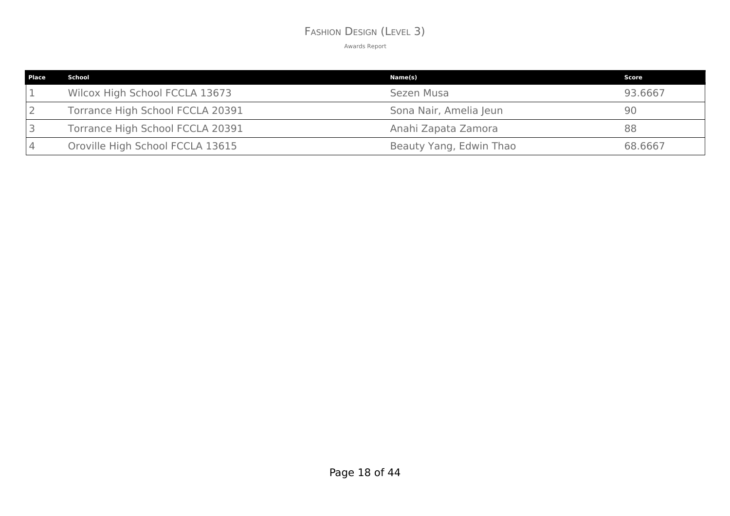### FASHION DESIGN (LEVEL 3)

| <b>Place</b> | School                           | Name(s)                 | Score   |
|--------------|----------------------------------|-------------------------|---------|
|              | Wilcox High School FCCLA 13673   | Sezen Musa              | 93.6667 |
|              | Torrance High School FCCLA 20391 | Sona Nair, Amelia Jeun  | 90      |
|              | Torrance High School FCCLA 20391 | Anahi Zapata Zamora     | 88      |
|              | Oroville High School FCCLA 13615 | Beauty Yang, Edwin Thao | 68.6667 |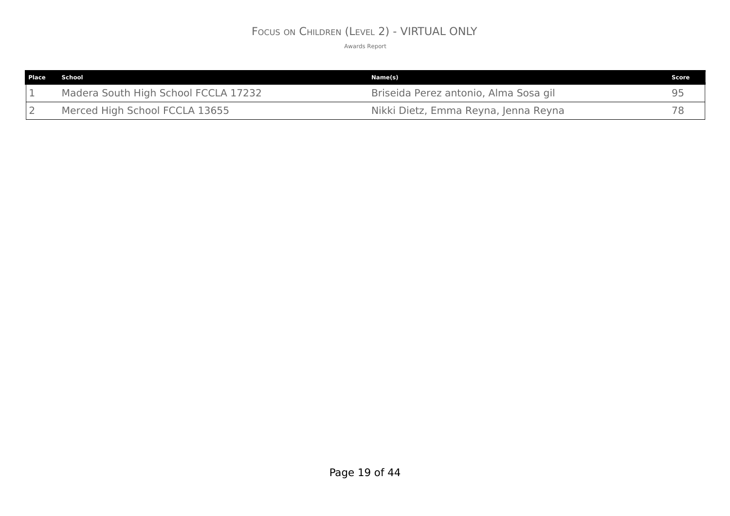## FOCUS ON CHILDREN (LEVEL 2) - VIRTUAL ONLY

| <b>Place</b> | School                               | Name(s)                               | Score |
|--------------|--------------------------------------|---------------------------------------|-------|
|              | Madera South High School FCCLA 17232 | Briseida Perez antonio, Alma Sosa gil |       |
|              | Merced High School FCCLA 13655       | Nikki Dietz, Emma Reyna, Jenna Reyna  |       |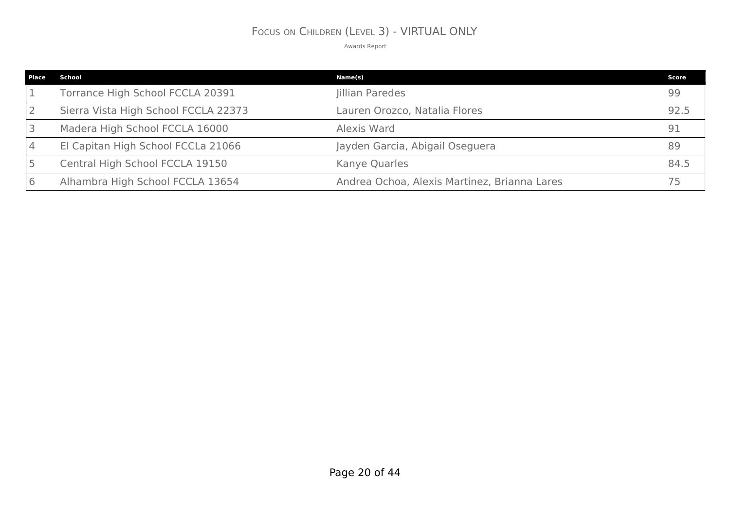# FOCUS ON CHILDREN (LEVEL 3) - VIRTUAL ONLY

| Place   | School                               | Name(s)                                      | Score |
|---------|--------------------------------------|----------------------------------------------|-------|
|         | Torrance High School FCCLA 20391     | Jillian Paredes                              | 99    |
|         | Sierra Vista High School FCCLA 22373 | Lauren Orozco, Natalia Flores                | 92.5  |
|         | Madera High School FCCLA 16000       | Alexis Ward                                  | 91    |
|         | El Capitan High School FCCLa 21066   | Jayden Garcia, Abigail Oseguera              |       |
|         | Central High School FCCLA 19150      | Kanye Quarles                                | 84.5  |
| $\circ$ | Alhambra High School FCCLA 13654     | Andrea Ochoa, Alexis Martinez, Brianna Lares |       |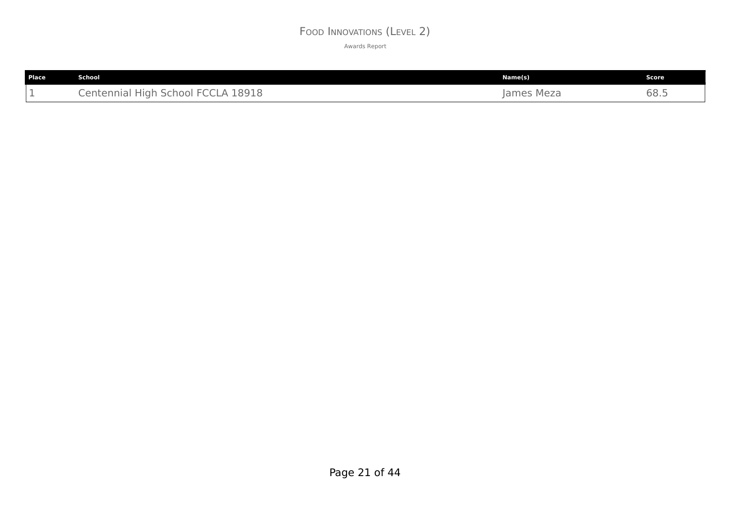### FOOD INNOVATIONS (LEVEL 2)

| Place | <b>School</b>                      | Name(s)    | Score |
|-------|------------------------------------|------------|-------|
| -     | Centennial High School FCCLA 18918 | James Meza | 68.5  |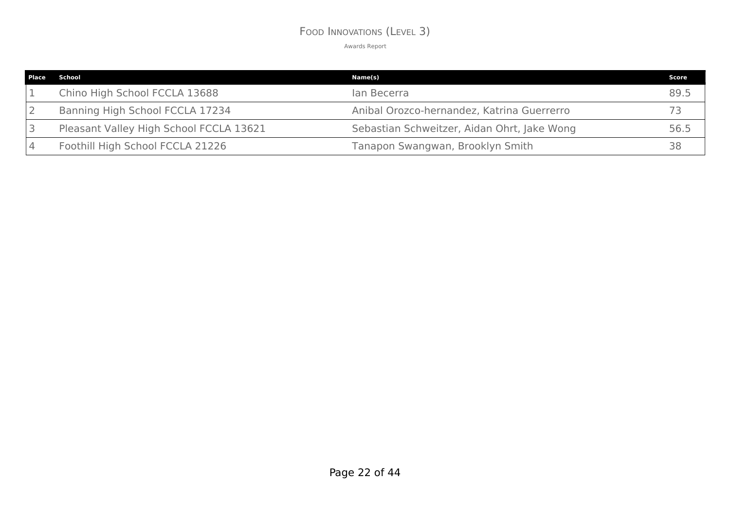### FOOD INNOVATIONS (LEVEL 3)

| Place School                            | Name(s)                                     | Score |
|-----------------------------------------|---------------------------------------------|-------|
| Chino High School FCCLA 13688           | lan Becerra                                 | 89.5  |
| Banning High School FCCLA 17234         | Anibal Orozco-hernandez, Katrina Guerrerro  |       |
| Pleasant Valley High School FCCLA 13621 | Sebastian Schweitzer, Aidan Ohrt, Jake Wong | 56.5  |
| Foothill High School FCCLA 21226        | Tanapon Swangwan, Brooklyn Smith            | 38    |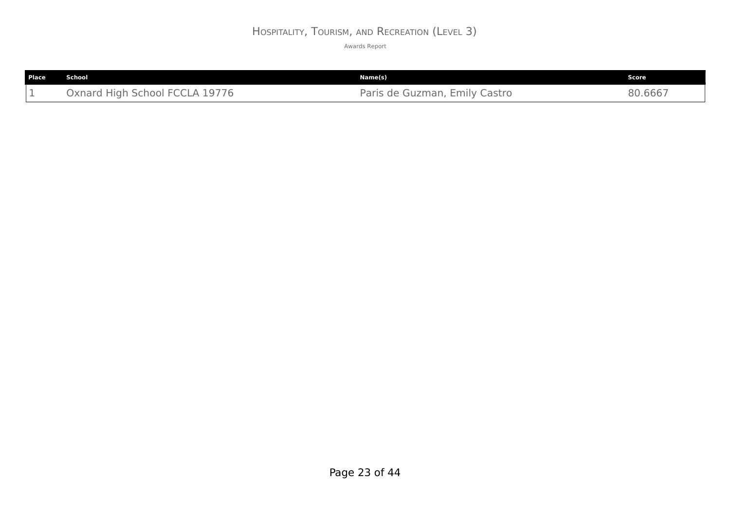# HOSPITALITY, TOURISM, AND RECREATION (LEVEL 3)

| <b>Place</b> | School                         | Name(s)                       | Score   |
|--------------|--------------------------------|-------------------------------|---------|
|              | Oxnard High School FCCLA 19776 | Paris de Guzman, Emily Castro | 80.6667 |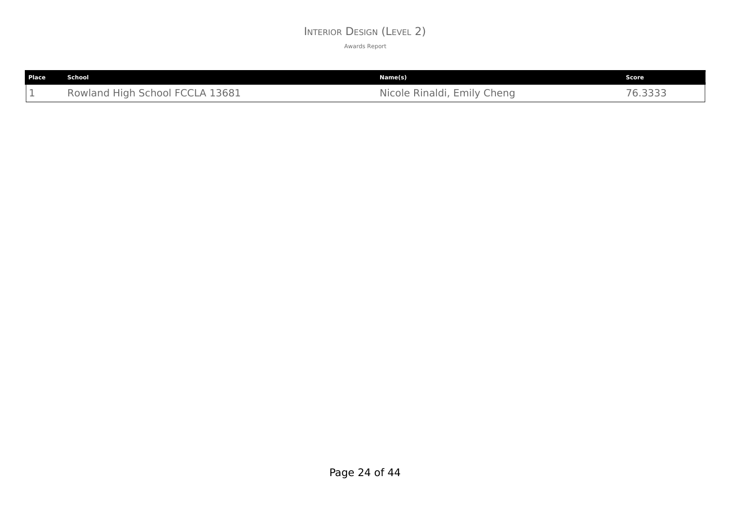### INTERIOR DESIGN (LEVEL 2)

| Place | School                             | Name(s)                     | Score <b>b</b>        |
|-------|------------------------------------|-----------------------------|-----------------------|
| - -   | High School FCCLA 13681<br>Rowland | Nicole Rinaldi, Emily Cheng | 76.3333<br>$\sqrt{2}$ |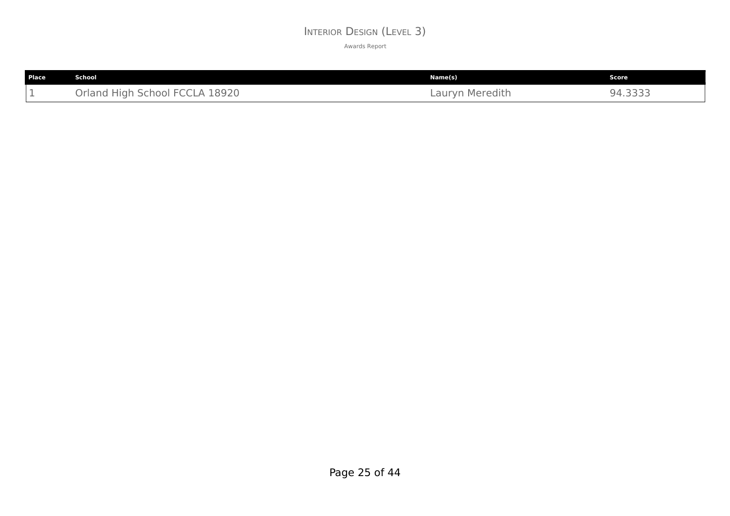### INTERIOR DESIGN (LEVEL 3)

| Place | School                         | Name(s)         | Score                      |
|-------|--------------------------------|-----------------|----------------------------|
| - -   | Orland High School FCCLA 18920 | Lauryn Meredith | ・さささこ<br>94<br>r . _ _ _ _ |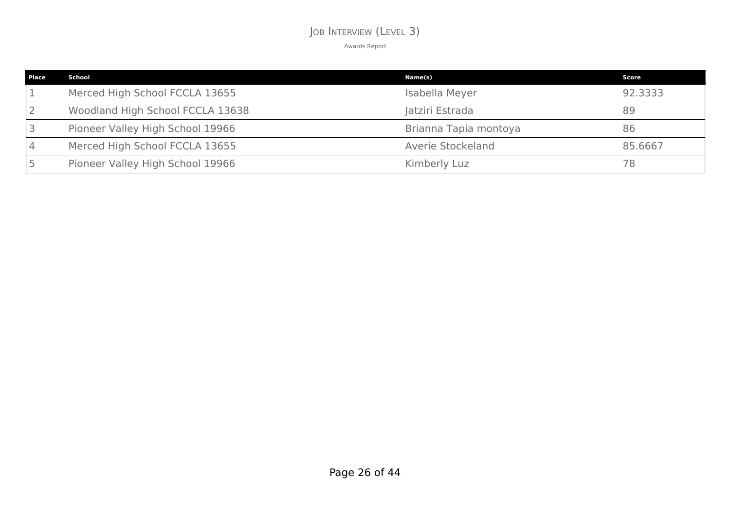### JOB INTERVIEW (LEVEL 3)

| <b>Place</b> | School                           | Name(s)               | Score   |
|--------------|----------------------------------|-----------------------|---------|
|              | Merced High School FCCLA 13655   | Isabella Meyer        | 92.3333 |
|              | Woodland High School FCCLA 13638 | Jatziri Estrada       | 89      |
|              | Pioneer Valley High School 19966 | Brianna Tapia montoya | 86      |
|              | Merced High School FCCLA 13655   | Averie Stockeland     | 85.6667 |
|              | Pioneer Valley High School 19966 | Kimberly Luz          | 78      |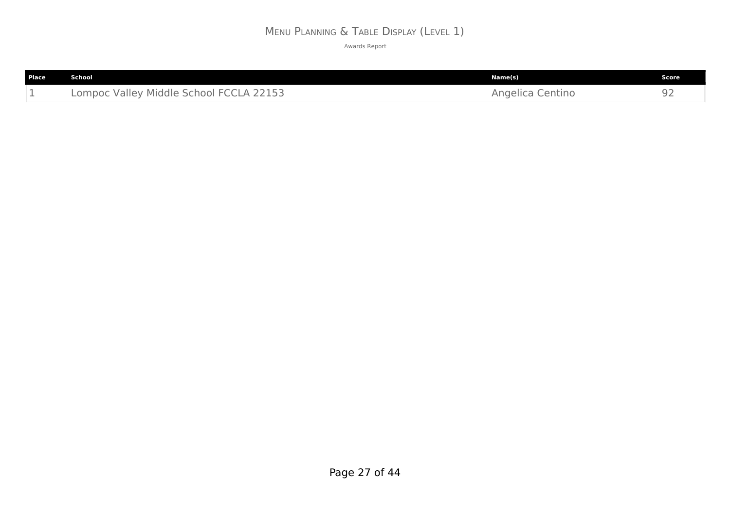# MENU PLANNING & TABLE DISPLAY (LEVEL 1)

| Place | <b>School</b>                           | Name(s)          | Score |
|-------|-----------------------------------------|------------------|-------|
|       | Lompoc Valley Middle School FCCLA 22153 | Angelica Centino |       |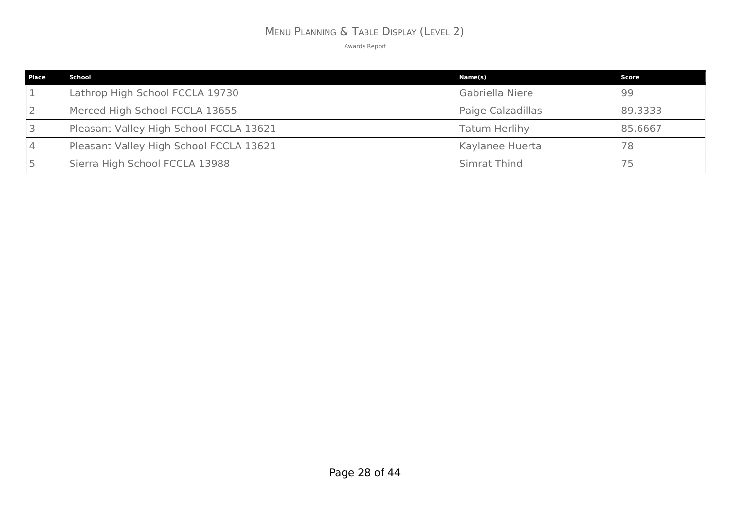# MENU PLANNING & TABLE DISPLAY (LEVEL 2)

| <b>Place</b> | School                                  | Name(s)              | Score   |
|--------------|-----------------------------------------|----------------------|---------|
|              | Lathrop High School FCCLA 19730         | Gabriella Niere      | 99      |
|              | Merced High School FCCLA 13655          | Paige Calzadillas    | 89,3333 |
|              | Pleasant Valley High School FCCLA 13621 | <b>Tatum Herlihy</b> | 85.6667 |
|              | Pleasant Valley High School FCCLA 13621 | Kaylanee Huerta      | 78      |
|              | Sierra High School FCCLA 13988          | Simrat Thind         | 75      |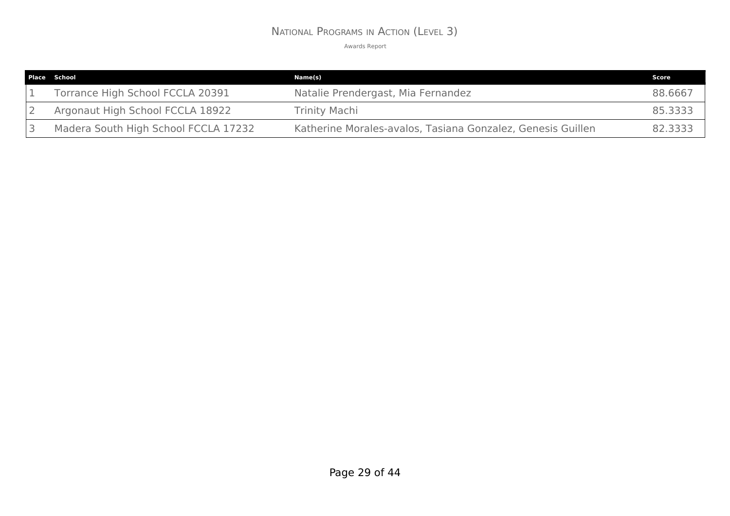### NATIONAL PROGRAMS IN ACTION (LEVEL 3)

| Place School                         | Name(s)                                                     | Score   |
|--------------------------------------|-------------------------------------------------------------|---------|
| Torrance High School FCCLA 20391     | Natalie Prendergast, Mia Fernandez                          | 88.6667 |
| Argonaut High School FCCLA 18922     | <b>Trinity Machi</b>                                        | 85,3333 |
| Madera South High School FCCLA 17232 | Katherine Morales-avalos, Tasiana Gonzalez, Genesis Guillen | 82.3333 |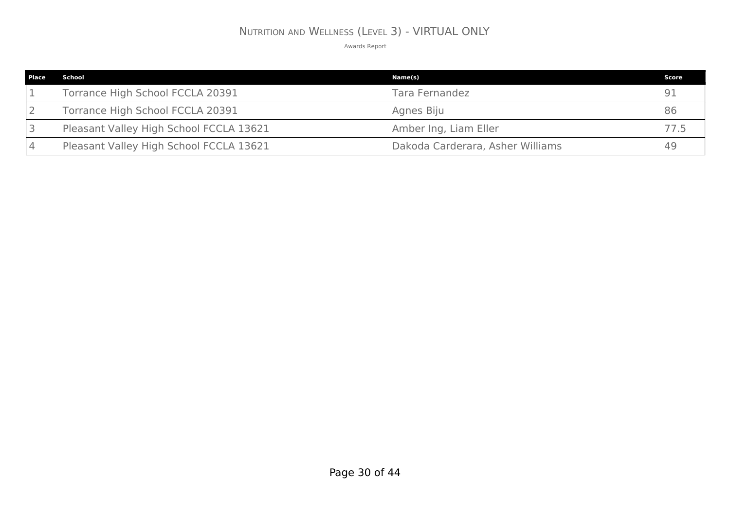# NUTRITION AND WELLNESS (LEVEL 3) - VIRTUAL ONLY

| <b>Place</b> | School                                  | Name(s)                          | Score |
|--------------|-----------------------------------------|----------------------------------|-------|
|              | Torrance High School FCCLA 20391        | Tara Fernandez                   |       |
|              | Torrance High School FCCLA 20391        | Agnes Biju                       | 86    |
|              | Pleasant Valley High School FCCLA 13621 | Amber Ing, Liam Eller            |       |
|              | Pleasant Valley High School FCCLA 13621 | Dakoda Carderara, Asher Williams |       |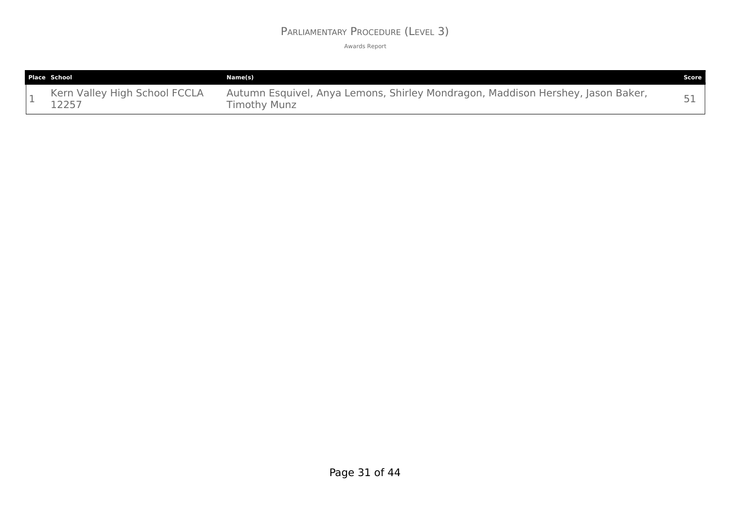### PARLIAMENTARY PROCEDURE (LEVEL 3)

| <b>Place School</b>                    | Name(s)                                                                                         | Score |
|----------------------------------------|-------------------------------------------------------------------------------------------------|-------|
| Kern Valley High School FCCLA<br>12257 | Autumn Esquivel, Anya Lemons, Shirley Mondragon, Maddison Hershey, Jason Baker,<br>Timothy Munz |       |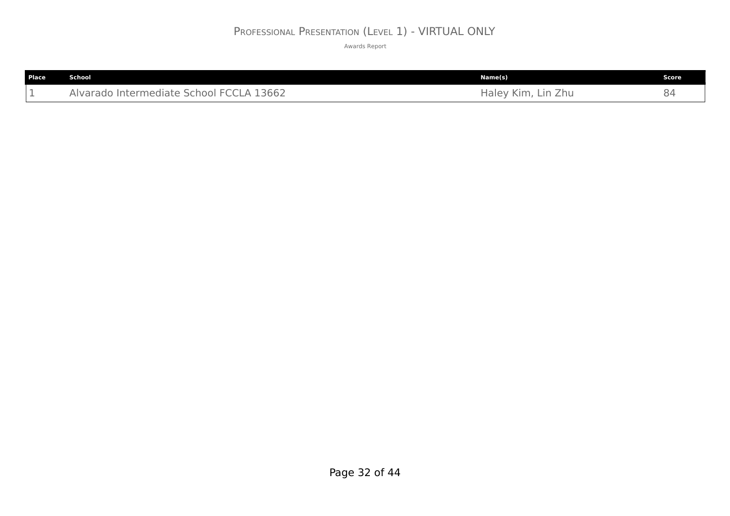# PROFESSIONAL PRESENTATION (LEVEL 1) - VIRTUAL ONLY

| <b>Place</b> | <b>School</b>                            | Name(s)            | Score |
|--------------|------------------------------------------|--------------------|-------|
| -            | Alvarado Intermediate School FCCLA 13662 | Haley Kim, Lin Zhu |       |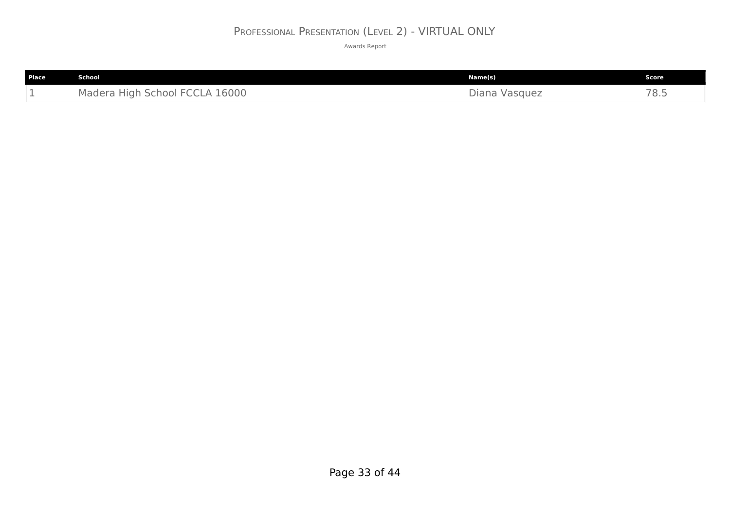# PROFESSIONAL PRESENTATION (LEVEL 2) - VIRTUAL ONLY

| <b>Place</b> | <b>School</b>                  | Name(s)       | <b>Score</b> |
|--------------|--------------------------------|---------------|--------------|
|              | Madera High School FCCLA 16000 | Diana Vasquez | 78.5         |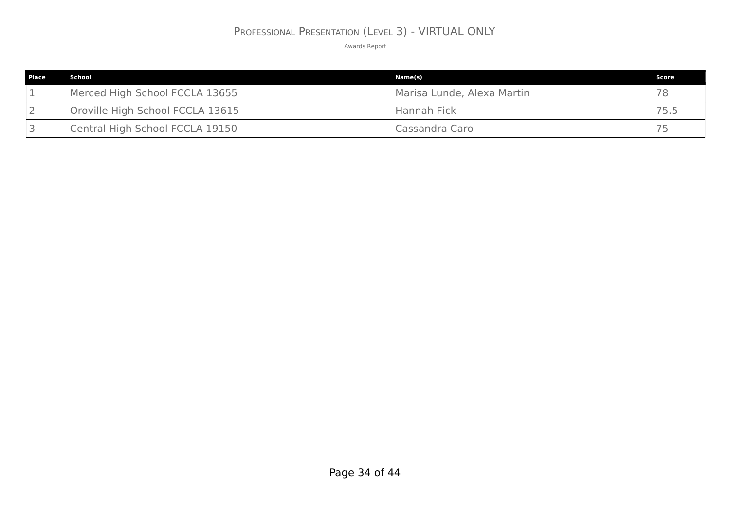# PROFESSIONAL PRESENTATION (LEVEL 3) - VIRTUAL ONLY

| <b>Place</b> | School                           | Name(s)                    | Score |
|--------------|----------------------------------|----------------------------|-------|
|              | Merced High School FCCLA 13655   | Marisa Lunde, Alexa Martin | 78    |
|              | Oroville High School FCCLA 13615 | Hannah Fick                | 75.5  |
|              | Central High School FCCLA 19150  | Cassandra Caro             | 75    |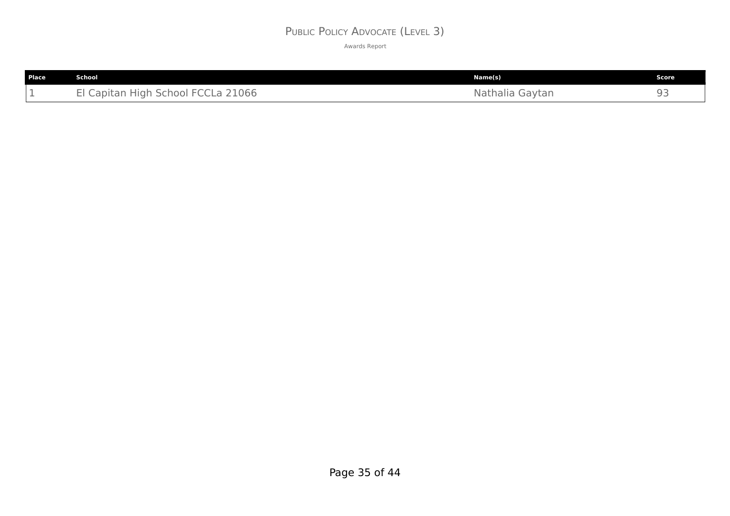# PUBLIC POLICY ADVOCATE (LEVEL 3)

| Place | School                             | Name(s)            | Score |
|-------|------------------------------------|--------------------|-------|
| --    | School FCCLa 21066<br>Capitan High | Nathalia<br>Gaytan | 93    |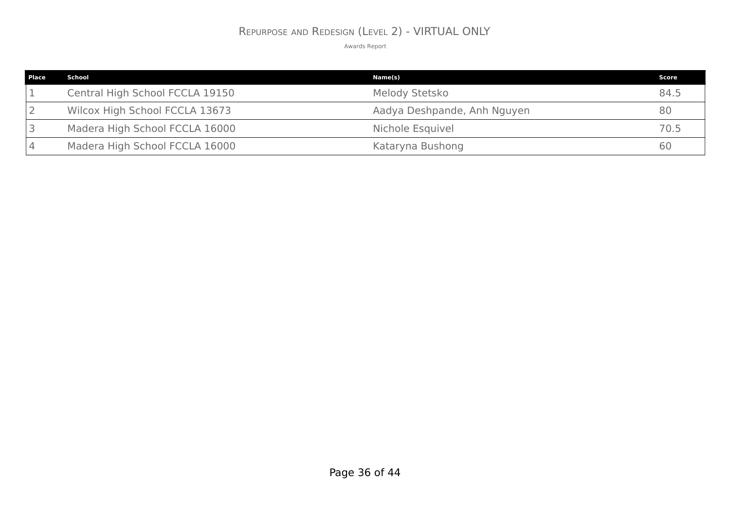### REPURPOSE AND REDESIGN (LEVEL 2) - VIRTUAL ONLY

| Place | School                          | Name(s)                     | Score |
|-------|---------------------------------|-----------------------------|-------|
|       | Central High School FCCLA 19150 | Melody Stetsko              | 84.5  |
|       | Wilcox High School FCCLA 13673  | Aadya Deshpande, Anh Nguyen | 80    |
|       | Madera High School FCCLA 16000  | Nichole Esquivel            | 70.5  |
|       | Madera High School FCCLA 16000  | Kataryna Bushong            | 60    |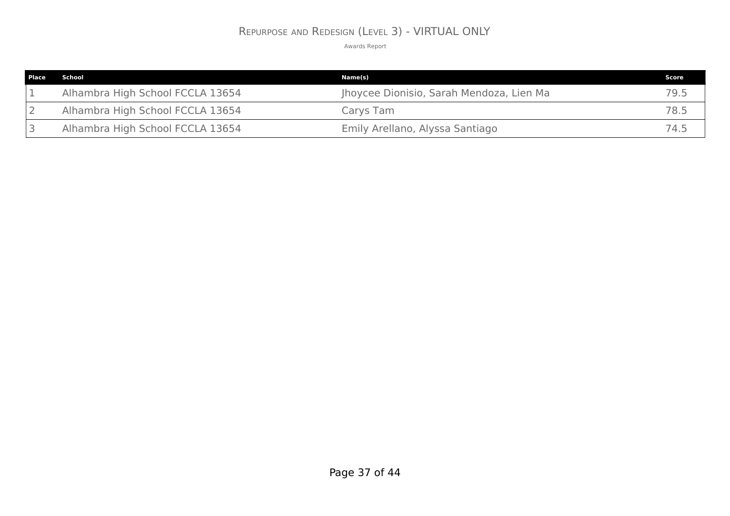### REPURPOSE AND REDESIGN (LEVEL 3) - VIRTUAL ONLY

| <b>Place</b> | School                           | Name(s)                                  | Score |
|--------------|----------------------------------|------------------------------------------|-------|
|              | Alhambra High School FCCLA 13654 | Jhoycee Dionisio, Sarah Mendoza, Lien Ma | 79.5  |
|              | Alhambra High School FCCLA 13654 | Carys Tam                                | 78.5  |
|              | Alhambra High School FCCLA 13654 | Emily Arellano, Alyssa Santiago          | 74.5  |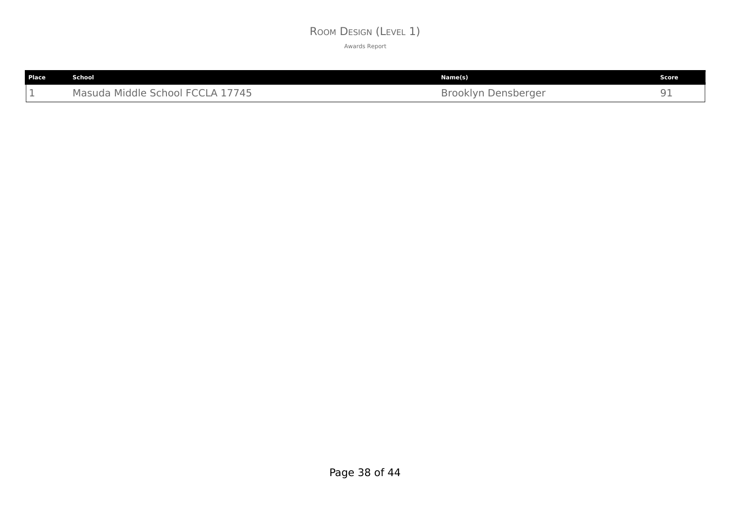### ROOM DESIGN (LEVEL 1)

| Place | School                                                         | Name(s)                 | Score |
|-------|----------------------------------------------------------------|-------------------------|-------|
| -     | .7745<br>$\mathsf{H}$ ECC.<br>Masuda Middle School<br>$\Delta$ | Brooklyn!<br>Densberger | --    |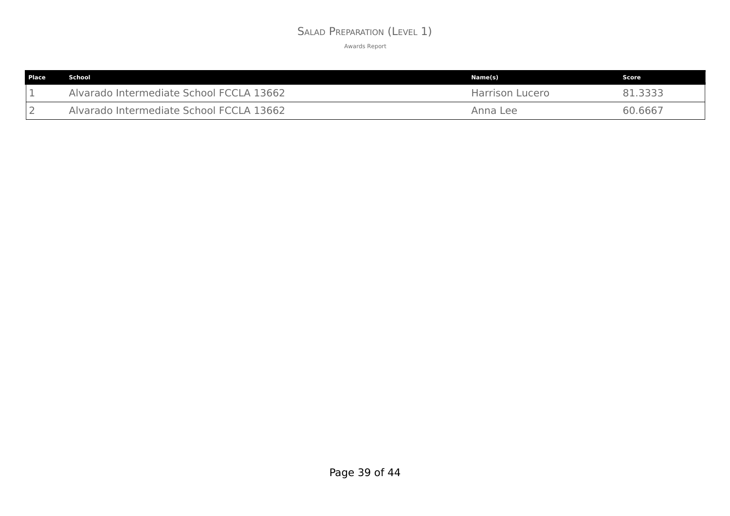### SALAD PREPARATION (LEVEL 1)

| <b>Place</b> | School                                   | Name(s)                | Score   |
|--------------|------------------------------------------|------------------------|---------|
|              | Alvarado Intermediate School FCCLA 13662 | <b>Harrison Lucero</b> | -3333   |
|              | Alvarado Intermediate School FCCLA 13662 | Anna Lee               | 60.6667 |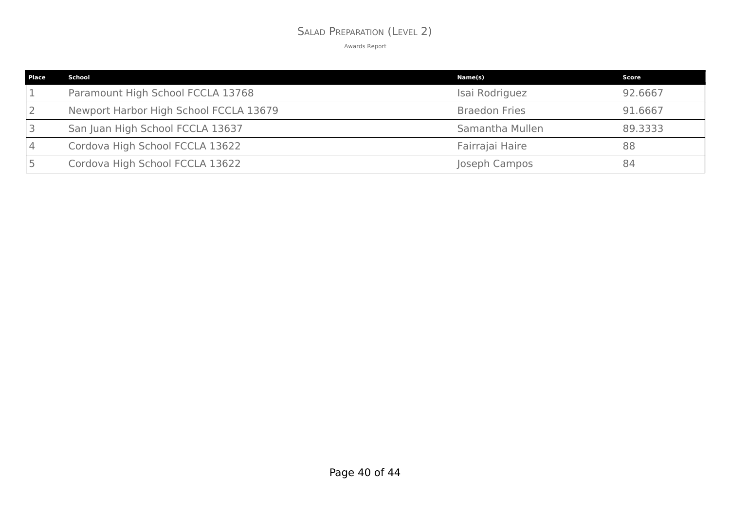### SALAD PREPARATION (LEVEL 2)

| <b>Place</b> | School                                 | Name(s)              | Score   |
|--------------|----------------------------------------|----------------------|---------|
|              | Paramount High School FCCLA 13768      | Isai Rodriguez       | 92.6667 |
|              | Newport Harbor High School FCCLA 13679 | <b>Braedon Fries</b> | 91.6667 |
|              | San Juan High School FCCLA 13637       | Samantha Mullen      | 89.3333 |
|              | Cordova High School FCCLA 13622        | Fairrajai Haire      | 88      |
|              | Cordova High School FCCLA 13622        | Joseph Campos        | 84      |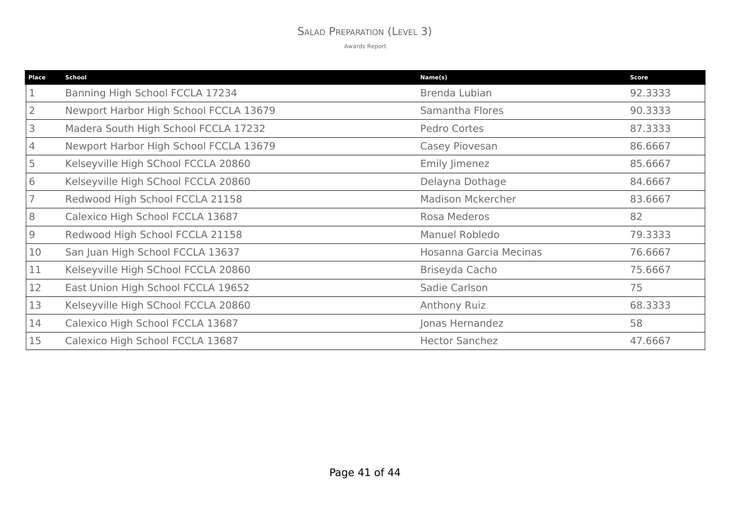### SALAD PREPARATION (LEVEL 3)

| Place | <b>School</b>                          | Name(s)                  | <b>Score</b> |
|-------|----------------------------------------|--------------------------|--------------|
|       | Banning High School FCCLA 17234        | Brenda Lubian            | 92.3333      |
|       | Newport Harbor High School FCCLA 13679 | Samantha Flores          | 90.3333      |
| 3     | Madera South High School FCCLA 17232   | Pedro Cortes             | 87.3333      |
| 4     | Newport Harbor High School FCCLA 13679 | Casey Piovesan           | 86.6667      |
| 5     | Kelseyville High SChool FCCLA 20860    | <b>Emily Jimenez</b>     | 85.6667      |
| 6     | Kelseyville High SChool FCCLA 20860    | Delayna Dothage          | 84.6667      |
|       | Redwood High School FCCLA 21158        | <b>Madison Mckercher</b> | 83.6667      |
| 8     | Calexico High School FCCLA 13687       | Rosa Mederos             | 82           |
| 9     | Redwood High School FCCLA 21158        | Manuel Robledo           | 79.3333      |
| 10    | San Juan High School FCCLA 13637       | Hosanna Garcia Mecinas   | 76.6667      |
| 11    | Kelseyville High SChool FCCLA 20860    | Briseyda Cacho           | 75.6667      |
| 12    | East Union High School FCCLA 19652     | Sadie Carlson            | 75           |
| 13    | Kelseyville High SChool FCCLA 20860    | Anthony Ruiz             | 68.3333      |
| 14    | Calexico High School FCCLA 13687       | Jonas Hernandez          | 58           |
| 15    | Calexico High School FCCLA 13687       | <b>Hector Sanchez</b>    | 47.6667      |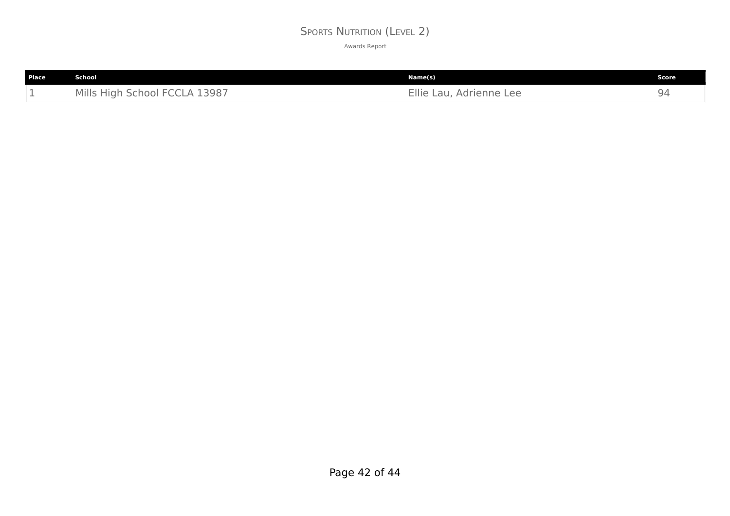### SPORTS NUTRITION (LEVEL 2)

| Place | School                        | Name(s)                 | Score |
|-------|-------------------------------|-------------------------|-------|
| - -   | Mills High School FCCLA 13987 | Ellie Lau, Adrienne Lee | 94    |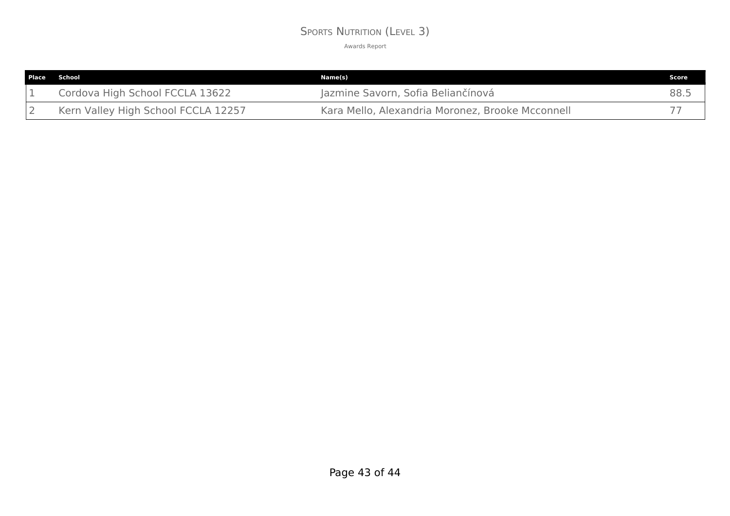### SPORTS NUTRITION (LEVEL 3)

| <b>Place School</b>                 | Name(s)                                          | <b>Score</b> |
|-------------------------------------|--------------------------------------------------|--------------|
| Cordova High School FCCLA 13622     | Jazmine Savorn, Sofia Beliančínová               | 88.5         |
| Kern Valley High School FCCLA 12257 | Kara Mello, Alexandria Moronez, Brooke Mcconnell |              |